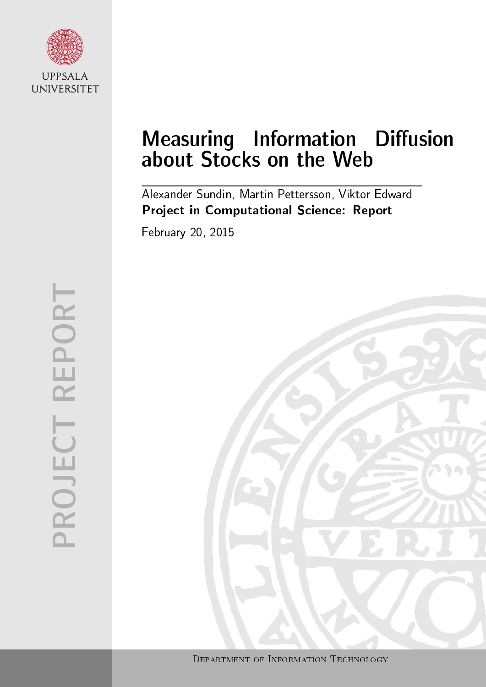

# Measuring Information Diffusion about Stocks on the Web

Alexander Sundin, Martin Pettersson, Viktor Edward Project in Computational Science: Report

February 20, 2015

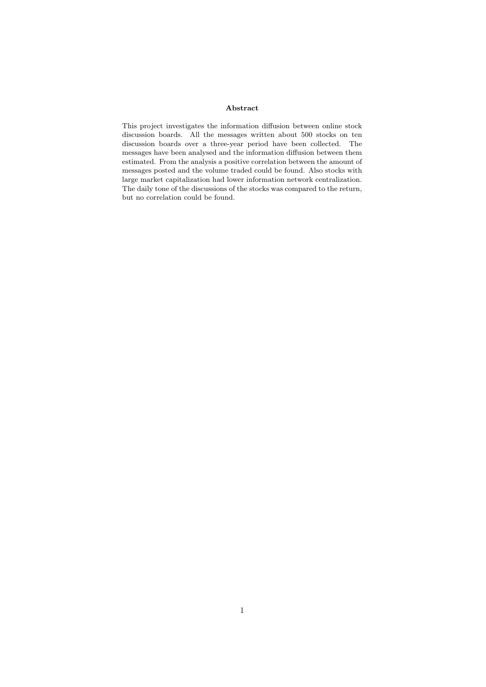#### Abstract

This project investigates the information diffusion between online stock discussion boards. All the messages written about 500 stocks on ten discussion boards over a three-year period have been collected. The messages have been analysed and the information diffusion between them estimated. From the analysis a positive correlation between the amount of messages posted and the volume traded could be found. Also stocks with large market capitalization had lower information network centralization. The daily tone of the discussions of the stocks was compared to the return, but no correlation could be found.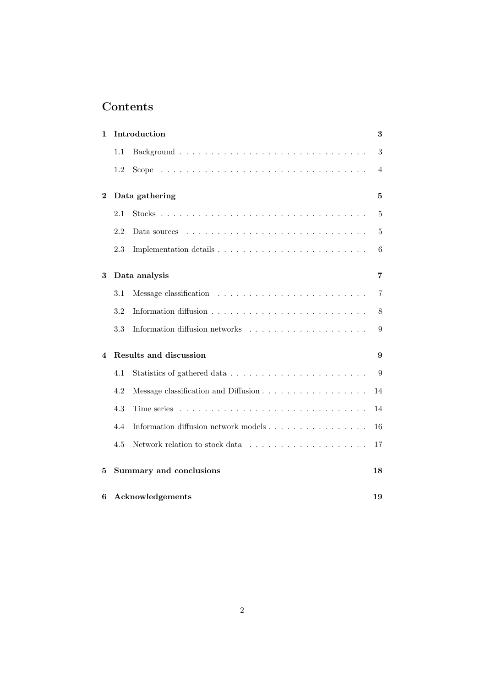## Contents

| 1        |     | Introduction                         | 3              |
|----------|-----|--------------------------------------|----------------|
|          | 1.1 |                                      | 3              |
|          | 1.2 |                                      | 4              |
| $\bf{2}$ |     | Data gathering                       | $\overline{5}$ |
|          | 2.1 |                                      | 5              |
|          | 2.2 | Data sources                         | 5              |
|          | 2.3 |                                      | 6              |
| 3        |     | Data analysis                        | 7              |
|          | 3.1 |                                      | 7              |
|          | 3.2 |                                      | 8              |
|          | 3.3 |                                      | 9              |
| 4        |     | Results and discussion               | 9              |
|          | 4.1 |                                      | 9              |
|          | 4.2 | Message classification and Diffusion | 14             |
|          | 4.3 | Time series                          | 14             |
|          | 4.4 | Information diffusion network models | 16             |
|          | 4.5 |                                      | 17             |
| 5        |     | Summary and conclusions              | 18             |
| 6        |     | Acknowledgements                     | 19             |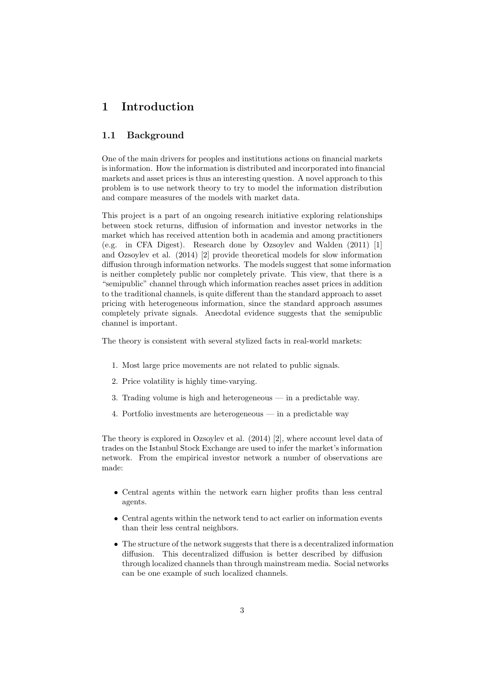## 1 Introduction

#### 1.1 Background

One of the main drivers for peoples and institutions actions on financial markets is information. How the information is distributed and incorporated into financial markets and asset prices is thus an interesting question. A novel approach to this problem is to use network theory to try to model the information distribution and compare measures of the models with market data.

This project is a part of an ongoing research initiative exploring relationships between stock returns, diffusion of information and investor networks in the market which has received attention both in academia and among practitioners (e.g. in CFA Digest). Research done by Ozsoylev and Walden (2011) [1] and Ozsoylev et al. (2014) [2] provide theoretical models for slow information diffusion through information networks. The models suggest that some information is neither completely public nor completely private. This view, that there is a "semipublic" channel through which information reaches asset prices in addition to the traditional channels, is quite different than the standard approach to asset pricing with heterogeneous information, since the standard approach assumes completely private signals. Anecdotal evidence suggests that the semipublic channel is important.

The theory is consistent with several stylized facts in real-world markets:

- 1. Most large price movements are not related to public signals.
- 2. Price volatility is highly time-varying.
- 3. Trading volume is high and heterogeneous in a predictable way.
- 4. Portfolio investments are heterogeneous in a predictable way

The theory is explored in Ozsoylev et al. (2014) [2], where account level data of trades on the Istanbul Stock Exchange are used to infer the market's information network. From the empirical investor network a number of observations are made:

- Central agents within the network earn higher profits than less central agents.
- Central agents within the network tend to act earlier on information events than their less central neighbors.
- The structure of the network suggests that there is a decentralized information diffusion. This decentralized diffusion is better described by diffusion through localized channels than through mainstream media. Social networks can be one example of such localized channels.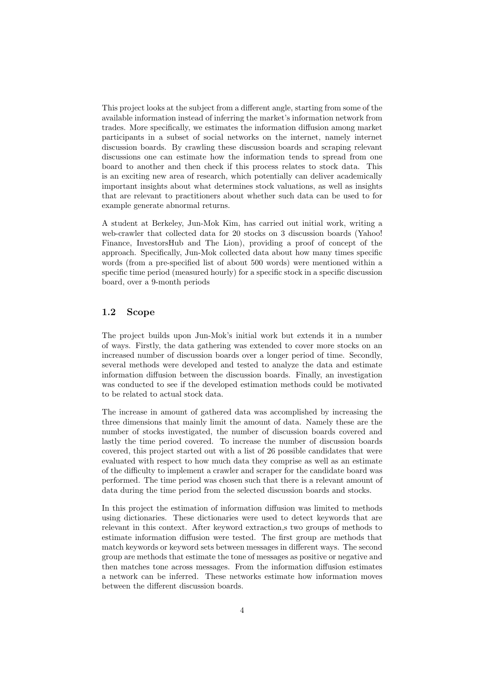This project looks at the subject from a different angle, starting from some of the available information instead of inferring the market's information network from trades. More specifically, we estimates the information diffusion among market participants in a subset of social networks on the internet, namely internet discussion boards. By crawling these discussion boards and scraping relevant discussions one can estimate how the information tends to spread from one board to another and then check if this process relates to stock data. This is an exciting new area of research, which potentially can deliver academically important insights about what determines stock valuations, as well as insights that are relevant to practitioners about whether such data can be used to for example generate abnormal returns.

A student at Berkeley, Jun-Mok Kim, has carried out initial work, writing a web-crawler that collected data for 20 stocks on 3 discussion boards (Yahoo! Finance, InvestorsHub and The Lion), providing a proof of concept of the approach. Specifically, Jun-Mok collected data about how many times specific words (from a pre-specified list of about 500 words) were mentioned within a specific time period (measured hourly) for a specific stock in a specific discussion board, over a 9-month periods

#### 1.2 Scope

The project builds upon Jun-Mok's initial work but extends it in a number of ways. Firstly, the data gathering was extended to cover more stocks on an increased number of discussion boards over a longer period of time. Secondly, several methods were developed and tested to analyze the data and estimate information diffusion between the discussion boards. Finally, an investigation was conducted to see if the developed estimation methods could be motivated to be related to actual stock data.

The increase in amount of gathered data was accomplished by increasing the three dimensions that mainly limit the amount of data. Namely these are the number of stocks investigated, the number of discussion boards covered and lastly the time period covered. To increase the number of discussion boards covered, this project started out with a list of 26 possible candidates that were evaluated with respect to how much data they comprise as well as an estimate of the difficulty to implement a crawler and scraper for the candidate board was performed. The time period was chosen such that there is a relevant amount of data during the time period from the selected discussion boards and stocks.

In this project the estimation of information diffusion was limited to methods using dictionaries. These dictionaries were used to detect keywords that are relevant in this context. After keyword extraction,s two groups of methods to estimate information diffusion were tested. The first group are methods that match keywords or keyword sets between messages in different ways. The second group are methods that estimate the tone of messages as positive or negative and then matches tone across messages. From the information diffusion estimates a network can be inferred. These networks estimate how information moves between the different discussion boards.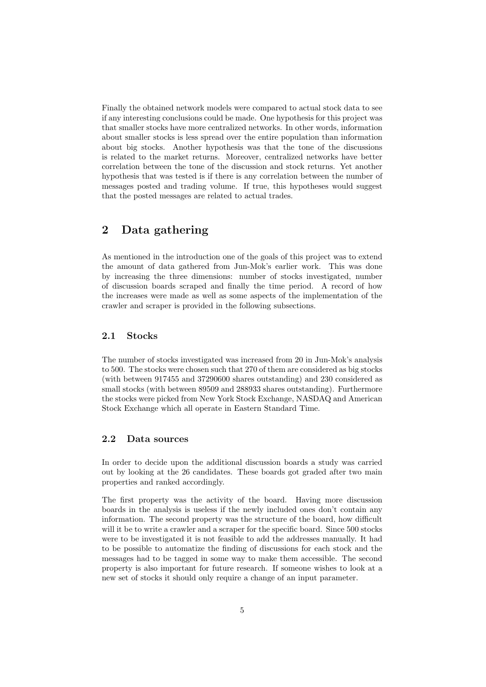Finally the obtained network models were compared to actual stock data to see if any interesting conclusions could be made. One hypothesis for this project was that smaller stocks have more centralized networks. In other words, information about smaller stocks is less spread over the entire population than information about big stocks. Another hypothesis was that the tone of the discussions is related to the market returns. Moreover, centralized networks have better correlation between the tone of the discussion and stock returns. Yet another hypothesis that was tested is if there is any correlation between the number of messages posted and trading volume. If true, this hypotheses would suggest that the posted messages are related to actual trades.

### 2 Data gathering

As mentioned in the introduction one of the goals of this project was to extend the amount of data gathered from Jun-Mok's earlier work. This was done by increasing the three dimensions: number of stocks investigated, number of discussion boards scraped and finally the time period. A record of how the increases were made as well as some aspects of the implementation of the crawler and scraper is provided in the following subsections.

#### 2.1 Stocks

The number of stocks investigated was increased from 20 in Jun-Mok's analysis to 500. The stocks were chosen such that 270 of them are considered as big stocks (with between 917455 and 37290600 shares outstanding) and 230 considered as small stocks (with between 89509 and 288933 shares outstanding). Furthermore the stocks were picked from New York Stock Exchange, NASDAQ and American Stock Exchange which all operate in Eastern Standard Time.

#### 2.2 Data sources

In order to decide upon the additional discussion boards a study was carried out by looking at the 26 candidates. These boards got graded after two main properties and ranked accordingly.

The first property was the activity of the board. Having more discussion boards in the analysis is useless if the newly included ones don't contain any information. The second property was the structure of the board, how difficult will it be to write a crawler and a scraper for the specific board. Since 500 stocks were to be investigated it is not feasible to add the addresses manually. It had to be possible to automatize the finding of discussions for each stock and the messages had to be tagged in some way to make them accessible. The second property is also important for future research. If someone wishes to look at a new set of stocks it should only require a change of an input parameter.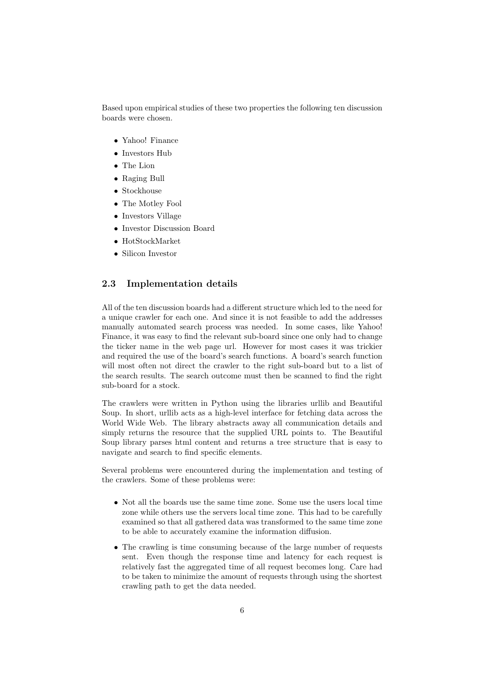Based upon empirical studies of these two properties the following ten discussion boards were chosen.

- Yahoo! Finance
- Investors Hub
- The Lion
- Raging Bull
- Stockhouse
- The Motley Fool
- Investors Village
- Investor Discussion Board
- HotStockMarket
- Silicon Investor

#### 2.3 Implementation details

All of the ten discussion boards had a different structure which led to the need for a unique crawler for each one. And since it is not feasible to add the addresses manually automated search process was needed. In some cases, like Yahoo! Finance, it was easy to find the relevant sub-board since one only had to change the ticker name in the web page url. However for most cases it was trickier and required the use of the board's search functions. A board's search function will most often not direct the crawler to the right sub-board but to a list of the search results. The search outcome must then be scanned to find the right sub-board for a stock.

The crawlers were written in Python using the libraries urllib and Beautiful Soup. In short, urllib acts as a high-level interface for fetching data across the World Wide Web. The library abstracts away all communication details and simply returns the resource that the supplied URL points to. The Beautiful Soup library parses html content and returns a tree structure that is easy to navigate and search to find specific elements.

Several problems were encountered during the implementation and testing of the crawlers. Some of these problems were:

- Not all the boards use the same time zone. Some use the users local time zone while others use the servers local time zone. This had to be carefully examined so that all gathered data was transformed to the same time zone to be able to accurately examine the information diffusion.
- The crawling is time consuming because of the large number of requests sent. Even though the response time and latency for each request is relatively fast the aggregated time of all request becomes long. Care had to be taken to minimize the amount of requests through using the shortest crawling path to get the data needed.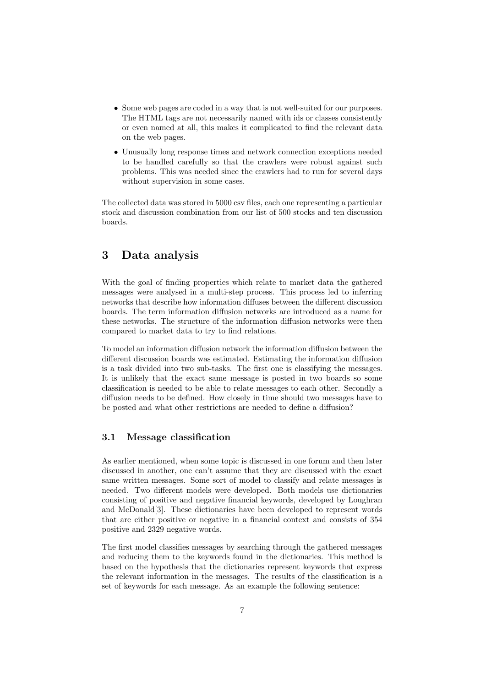- Some web pages are coded in a way that is not well-suited for our purposes. The HTML tags are not necessarily named with ids or classes consistently or even named at all, this makes it complicated to find the relevant data on the web pages.
- Unusually long response times and network connection exceptions needed to be handled carefully so that the crawlers were robust against such problems. This was needed since the crawlers had to run for several days without supervision in some cases.

The collected data was stored in 5000 csv files, each one representing a particular stock and discussion combination from our list of 500 stocks and ten discussion boards.

## 3 Data analysis

With the goal of finding properties which relate to market data the gathered messages were analysed in a multi-step process. This process led to inferring networks that describe how information diffuses between the different discussion boards. The term information diffusion networks are introduced as a name for these networks. The structure of the information diffusion networks were then compared to market data to try to find relations.

To model an information diffusion network the information diffusion between the different discussion boards was estimated. Estimating the information diffusion is a task divided into two sub-tasks. The first one is classifying the messages. It is unlikely that the exact same message is posted in two boards so some classification is needed to be able to relate messages to each other. Secondly a diffusion needs to be defined. How closely in time should two messages have to be posted and what other restrictions are needed to define a diffusion?

#### 3.1 Message classification

As earlier mentioned, when some topic is discussed in one forum and then later discussed in another, one can't assume that they are discussed with the exact same written messages. Some sort of model to classify and relate messages is needed. Two different models were developed. Both models use dictionaries consisting of positive and negative financial keywords, developed by Loughran and McDonald[3]. These dictionaries have been developed to represent words that are either positive or negative in a financial context and consists of 354 positive and 2329 negative words.

The first model classifies messages by searching through the gathered messages and reducing them to the keywords found in the dictionaries. This method is based on the hypothesis that the dictionaries represent keywords that express the relevant information in the messages. The results of the classification is a set of keywords for each message. As an example the following sentence: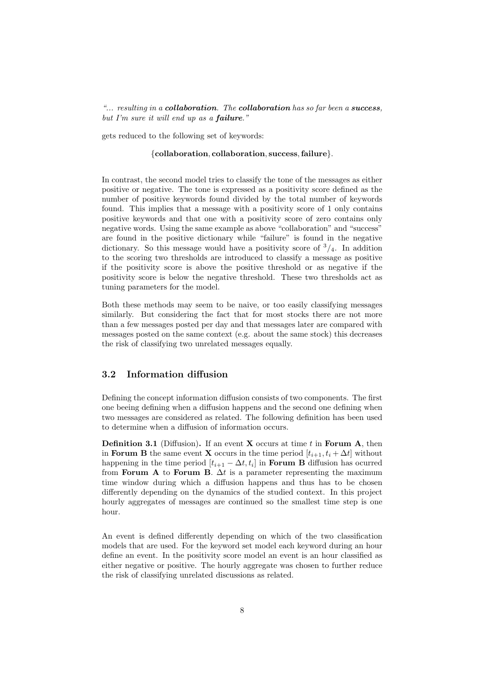"... resulting in a collaboration. The collaboration has so far been a success, but I'm sure it will end up as a failure."

gets reduced to the following set of keywords:

#### {collaboration, collaboration, success,failure}.

In contrast, the second model tries to classify the tone of the messages as either positive or negative. The tone is expressed as a positivity score defined as the number of positive keywords found divided by the total number of keywords found. This implies that a message with a positivity score of 1 only contains positive keywords and that one with a positivity score of zero contains only negative words. Using the same example as above "collaboration" and "success" are found in the positive dictionary while "failure" is found in the negative dictionary. So this message would have a positivity score of  $\frac{3}{4}$ . In addition to the scoring two thresholds are introduced to classify a message as positive if the positivity score is above the positive threshold or as negative if the positivity score is below the negative threshold. These two thresholds act as tuning parameters for the model.

Both these methods may seem to be naive, or too easily classifying messages similarly. But considering the fact that for most stocks there are not more than a few messages posted per day and that messages later are compared with messages posted on the same context (e.g. about the same stock) this decreases the risk of classifying two unrelated messages equally.

#### 3.2 Information diffusion

Defining the concept information diffusion consists of two components. The first one beeing defining when a diffusion happens and the second one defining when two messages are considered as related. The following definition has been used to determine when a diffusion of information occurs.

**Definition 3.1** (Diffusion). If an event **X** occurs at time t in Forum A, then in Forum B the same event X occurs in the time period  $[t_{i+1}, t_i + \Delta t]$  without happening in the time period  $[t_{i+1} - \Delta t, t_i]$  in **Forum B** diffusion has ocurred from Forum A to Forum B.  $\Delta t$  is a parameter representing the maximum time window during which a diffusion happens and thus has to be chosen differently depending on the dynamics of the studied context. In this project hourly aggregates of messages are continued so the smallest time step is one hour.

An event is defined differently depending on which of the two classification models that are used. For the keyword set model each keyword during an hour define an event. In the positivity score model an event is an hour classified as either negative or positive. The hourly aggregate was chosen to further reduce the risk of classifying unrelated discussions as related.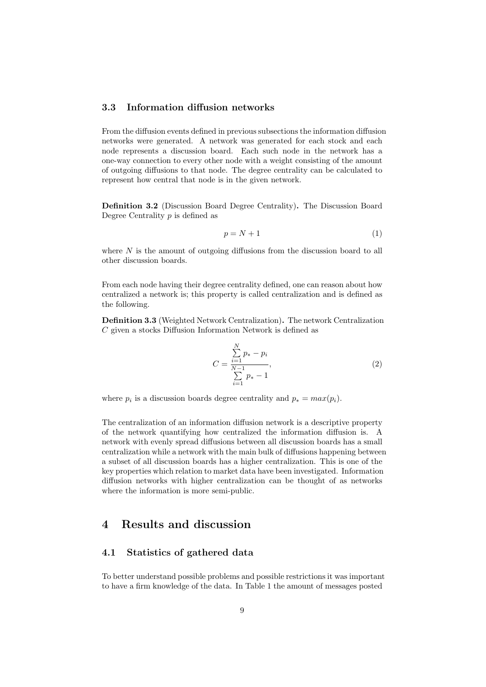#### 3.3 Information diffusion networks

From the diffusion events defined in previous subsections the information diffusion networks were generated. A network was generated for each stock and each node represents a discussion board. Each such node in the network has a one-way connection to every other node with a weight consisting of the amount of outgoing diffusions to that node. The degree centrality can be calculated to represent how central that node is in the given network.

Definition 3.2 (Discussion Board Degree Centrality). The Discussion Board Degree Centrality  $p$  is defined as

$$
p = N + 1\tag{1}
$$

where  $N$  is the amount of outgoing diffusions from the discussion board to all other discussion boards.

From each node having their degree centrality defined, one can reason about how centralized a network is; this property is called centralization and is defined as the following.

Definition 3.3 (Weighted Network Centralization). The network Centralization C given a stocks Diffusion Information Network is defined as

$$
C = \frac{\sum_{i=1}^{N} p_i - p_i}{\sum_{i=1}^{N-1} p_i - 1},
$$
\n(2)

where  $p_i$  is a discussion boards degree centrality and  $p_* = max(p_i)$ .

The centralization of an information diffusion network is a descriptive property of the network quantifying how centralized the information diffusion is. A network with evenly spread diffusions between all discussion boards has a small centralization while a network with the main bulk of diffusions happening between a subset of all discussion boards has a higher centralization. This is one of the key properties which relation to market data have been investigated. Information diffusion networks with higher centralization can be thought of as networks where the information is more semi-public.

## 4 Results and discussion

#### 4.1 Statistics of gathered data

To better understand possible problems and possible restrictions it was important to have a firm knowledge of the data. In Table 1 the amount of messages posted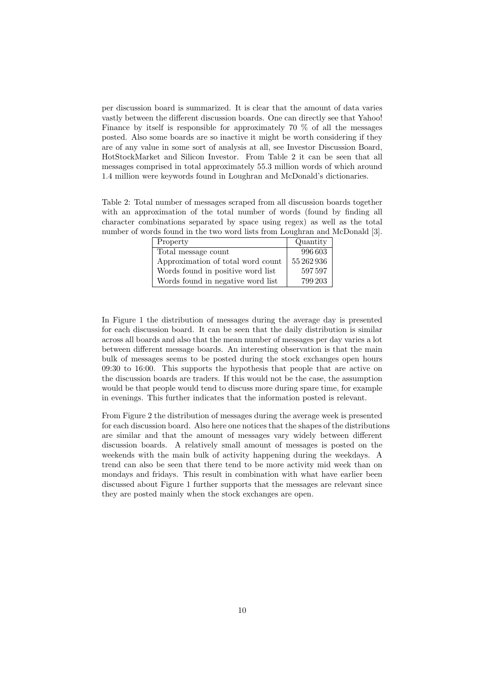per discussion board is summarized. It is clear that the amount of data varies vastly between the different discussion boards. One can directly see that Yahoo! Finance by itself is responsible for approximately 70 % of all the messages posted. Also some boards are so inactive it might be worth considering if they are of any value in some sort of analysis at all, see Investor Discussion Board, HotStockMarket and Silicon Investor. From Table 2 it can be seen that all messages comprised in total approximately 55.3 million words of which around 1.4 million were keywords found in Loughran and McDonald's dictionaries.

Table 2: Total number of messages scraped from all discussion boards together with an approximation of the total number of words (found by finding all character combinations separated by space using regex) as well as the total number of words found in the two word lists from Loughran and McDonald [3].

| Property                          | Quantity   |
|-----------------------------------|------------|
| Total message count               | 996603     |
| Approximation of total word count | 55 262 936 |
| Words found in positive word list | 597597     |
| Words found in negative word list | 799 203    |

In Figure 1 the distribution of messages during the average day is presented for each discussion board. It can be seen that the daily distribution is similar across all boards and also that the mean number of messages per day varies a lot between different message boards. An interesting observation is that the main bulk of messages seems to be posted during the stock exchanges open hours 09:30 to 16:00. This supports the hypothesis that people that are active on the discussion boards are traders. If this would not be the case, the assumption would be that people would tend to discuss more during spare time, for example in evenings. This further indicates that the information posted is relevant.

From Figure 2 the distribution of messages during the average week is presented for each discussion board. Also here one notices that the shapes of the distributions are similar and that the amount of messages vary widely between different discussion boards. A relatively small amount of messages is posted on the weekends with the main bulk of activity happening during the weekdays. A trend can also be seen that there tend to be more activity mid week than on mondays and fridays. This result in combination with what have earlier been discussed about Figure 1 further supports that the messages are relevant since they are posted mainly when the stock exchanges are open.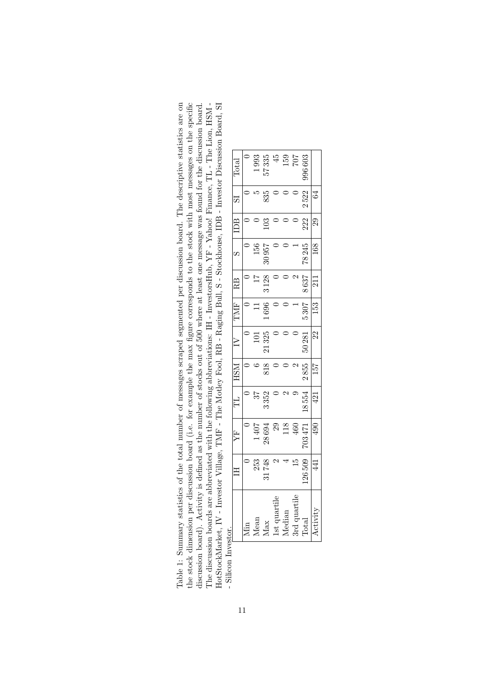the stock dimension per discussion board (i.e. for example the max figure corresponds to the stock with most messages on the specific discussion board). Activity is defined as the number of stocks out of 500 where at least one message was found for the discussion board.<br>The discussion boards are abbreviated with the following abbreviations: IH - Investo The discussion boards are abbreviated with the following abbreviations: IH - InvestorsHub, YF - Yahoo! Finance, TL - The Lion, HSM - Table 1: Summary statistics of the total number of messages scraped segmented per discussion board. The descriptive statistics are on HotStockMarket, IV - Investor Village, TMF - The Motley Fool, RB - Raging Bull, S - Stockhouse, IDB - Investor Discussion Board, SI Table 1: Summary statistics of the total number of messages scraped segmented per discussion board. The descriptive statistics are on the stock dimension per discussion board (i.e. for example the max figure corresponds to the stock with most messages on the specific HotStockMarket, IV - Investor Village, TMF - The Motley Fool, RB - Raging Bull, S - Stockhouse, IDB - Investor Discussion Board, SI discussion board). Activity is defined as the number of stocks out of 500 where at least one message was found for the discussion board. - Silicon Investor. - Silicon Inv

|                 | $\Xi$  | Ë                | $\Xi$ | <b>HSM</b> | $\geq$ | TMF  | RB   |       | $\Box$       | 57   | Total  |
|-----------------|--------|------------------|-------|------------|--------|------|------|-------|--------------|------|--------|
| Уiіn            |        |                  |       |            |        |      |      |       |              |      |        |
| dean            | 253    | 1407             |       |            | 101    |      |      | 156   |              |      | 1993   |
| Max             | 31748  | 28694            | 3352  | 818        | 21325  | 1696 | 3128 | 30957 | $\mathbb{S}$ | 835  | 57335  |
| uartile         |        | 29               |       |            |        |      |      |       |              |      | 45     |
| $I$ edian       |        | 18               |       |            |        |      |      |       |              |      | 159    |
| nartile         | 15     | $\overline{160}$ |       |            |        |      |      |       |              |      | 707    |
| <b>Total</b>    | 126509 | 703471           | 18554 | 2855       | 50281  | 5307 | 8637 | 78245 | 222          | 2522 | 996603 |
| <b>sctivity</b> | $\Xi$  | 490              | 421   | 157        | 22     | 153  | 211  | 168   | 29           | 64   |        |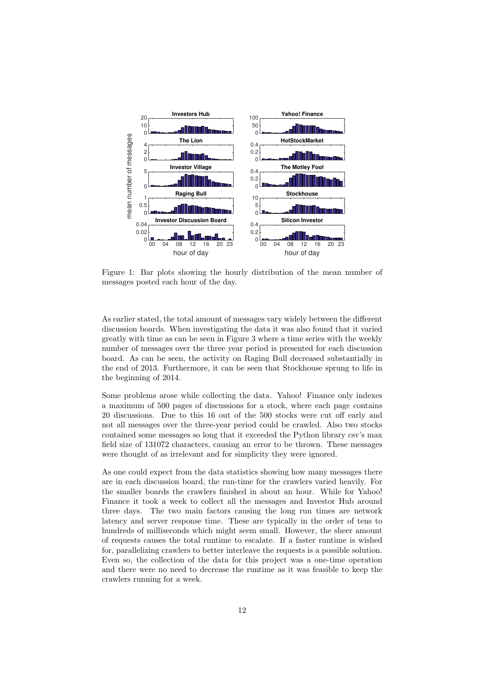

Figure 1: Bar plots showing the hourly distribution of the mean number of messages posted each hour of the day.

As earlier stated, the total amount of messages vary widely between the different discussion boards. When investigating the data it was also found that it varied greatly with time as can be seen in Figure 3 where a time series with the weekly number of messages over the three year period is presented for each discussion board. As can be seen, the activity on Raging Bull decreased substantially in the end of 2013. Furthermore, it can be seen that Stockhouse sprung to life in the beginning of 2014.

Some problems arose while collecting the data. Yahoo! Finance only indexes a maximum of 500 pages of discussions for a stock, where each page contains 20 discussions. Due to this 16 out of the 500 stocks were cut off early and not all messages over the three-year period could be crawled. Also two stocks contained some messages so long that it exceeded the Python library csv's max field size of 131072 characters, causing an error to be thrown. These messages were thought of as irrelevant and for simplicity they were ignored.

As one could expect from the data statistics showing how many messages there are in each discussion board, the run-time for the crawlers varied heavily. For the smaller boards the crawlers finished in about an hour. While for Yahoo! Finance it took a week to collect all the messages and Investor Hub around three days. The two main factors causing the long run times are network latency and server response time. These are typically in the order of tens to hundreds of milliseconds which might seem small. However, the sheer amount of requests causes the total runtime to escalate. If a faster runtime is wished for, parallelizing crawlers to better interleave the requests is a possible solution. Even so, the collection of the data for this project was a one-time operation and there were no need to decrease the runtime as it was feasible to keep the crawlers running for a week.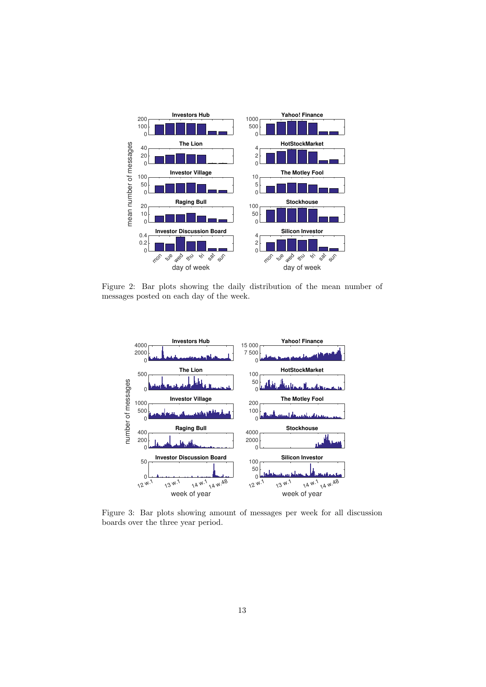

Figure 2: Bar plots showing the daily distribution of the mean number of messages posted on each day of the week.



Figure 3: Bar plots showing amount of messages per week for all discussion boards over the three year period.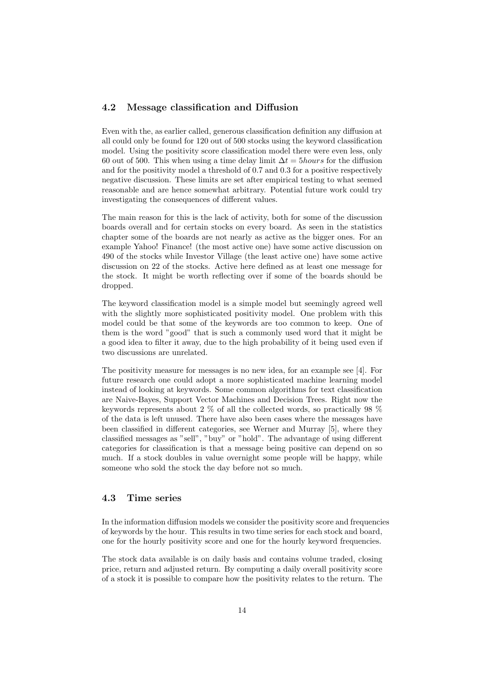#### 4.2 Message classification and Diffusion

Even with the, as earlier called, generous classification definition any diffusion at all could only be found for 120 out of 500 stocks using the keyword classification model. Using the positivity score classification model there were even less, only 60 out of 500. This when using a time delay limit  $\Delta t = 5 hours$  for the diffusion and for the positivity model a threshold of 0.7 and 0.3 for a positive respectively negative discussion. These limits are set after empirical testing to what seemed reasonable and are hence somewhat arbitrary. Potential future work could try investigating the consequences of different values.

The main reason for this is the lack of activity, both for some of the discussion boards overall and for certain stocks on every board. As seen in the statistics chapter some of the boards are not nearly as active as the bigger ones. For an example Yahoo! Finance! (the most active one) have some active discussion on 490 of the stocks while Investor Village (the least active one) have some active discussion on 22 of the stocks. Active here defined as at least one message for the stock. It might be worth reflecting over if some of the boards should be dropped.

The keyword classification model is a simple model but seemingly agreed well with the slightly more sophisticated positivity model. One problem with this model could be that some of the keywords are too common to keep. One of them is the word "good" that is such a commonly used word that it might be a good idea to filter it away, due to the high probability of it being used even if two discussions are unrelated.

The positivity measure for messages is no new idea, for an example see [4]. For future research one could adopt a more sophisticated machine learning model instead of looking at keywords. Some common algorithms for text classification are Naive-Bayes, Support Vector Machines and Decision Trees. Right now the keywords represents about 2 % of all the collected words, so practically 98 % of the data is left unused. There have also been cases where the messages have been classified in different categories, see Werner and Murray [5], where they classified messages as "sell", "buy" or "hold". The advantage of using different categories for classification is that a message being positive can depend on so much. If a stock doubles in value overnight some people will be happy, while someone who sold the stock the day before not so much.

#### 4.3 Time series

In the information diffusion models we consider the positivity score and frequencies of keywords by the hour. This results in two time series for each stock and board, one for the hourly positivity score and one for the hourly keyword frequencies.

The stock data available is on daily basis and contains volume traded, closing price, return and adjusted return. By computing a daily overall positivity score of a stock it is possible to compare how the positivity relates to the return. The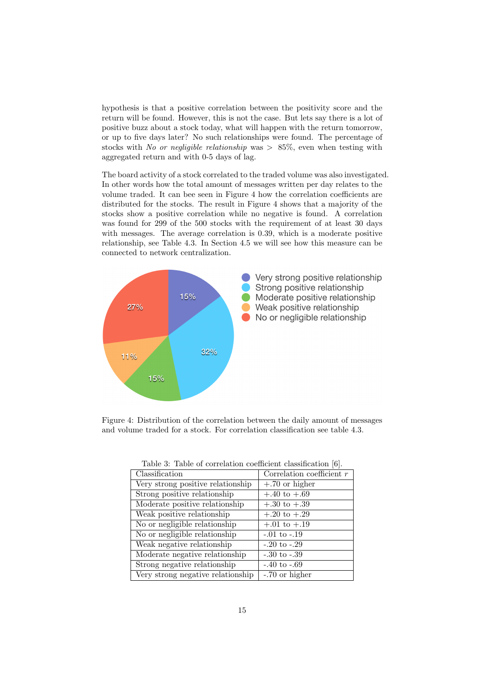hypothesis is that a positive correlation between the positivity score and the return will be found. However, this is not the case. But lets say there is a lot of positive buzz about a stock today, what will happen with the return tomorrow, or up to five days later? No such relationships were found. The percentage of stocks with No or negligible relationship was  $> 85\%$ , even when testing with aggregated return and with 0-5 days of lag.

The board activity of a stock correlated to the traded volume was also investigated. In other words how the total amount of messages written per day relates to the volume traded. It can bee seen in Figure 4 how the correlation coefficients are distributed for the stocks. The result in Figure 4 shows that a majority of the stocks show a positive correlation while no negative is found. A correlation was found for 299 of the 500 stocks with the requirement of at least 30 days with messages. The average correlation is 0.39, which is a moderate positive relationship, see Table 4.3. In Section 4.5 we will see how this measure can be connected to network centralization.



Figure 4: Distribution of the correlation between the daily amount of messages and volume traded for a stock. For correlation classification see table 4.3.

| Classification                    | Correlation coefficient $r$ |
|-----------------------------------|-----------------------------|
| Very strong positive relationship | $+.70$ or higher            |
| Strong positive relationship      | $+.40 \text{ to }+.69$      |
| Moderate positive relationship    | $+.30 \text{ to }+.39$      |
| Weak positive relationship        | $+.20 \text{ to }+.29$      |
| No or negligible relationship     | $+.01 \text{ to }+.19$      |
| No or negligible relationship     | $-.01 \text{ to } -.19$     |
| Weak negative relationship        | $-.20 \text{ to } -.29$     |
| Moderate negative relationship    | $-.30 \text{ to } -.39$     |
| Strong negative relationship      | $-.40 \text{ to } -.69$     |
| Very strong negative relationship | -.70 or higher              |

Table 3: Table of correlation coefficient classification [6].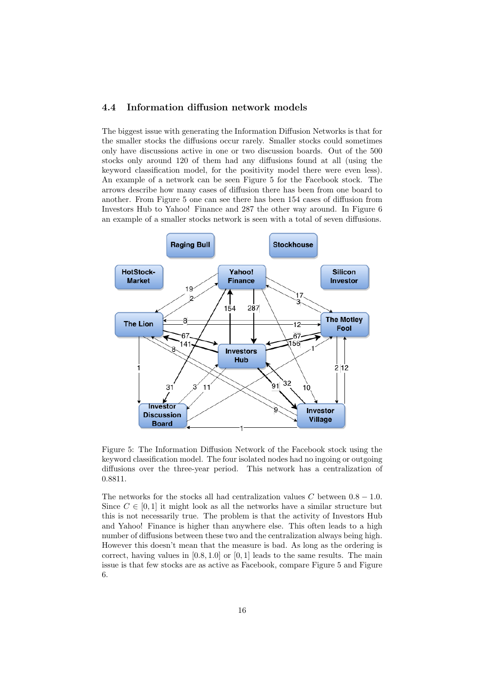#### 4.4 Information diffusion network models

The biggest issue with generating the Information Diffusion Networks is that for the smaller stocks the diffusions occur rarely. Smaller stocks could sometimes only have discussions active in one or two discussion boards. Out of the 500 stocks only around 120 of them had any diffusions found at all (using the keyword classification model, for the positivity model there were even less). An example of a network can be seen Figure 5 for the Facebook stock. The arrows describe how many cases of diffusion there has been from one board to another. From Figure 5 one can see there has been 154 cases of diffusion from Investors Hub to Yahoo! Finance and 287 the other way around. In Figure 6 an example of a smaller stocks network is seen with a total of seven diffusions.



Figure 5: The Information Diffusion Network of the Facebook stock using the keyword classification model. The four isolated nodes had no ingoing or outgoing diffusions over the three-year period. This network has a centralization of 0.8811.

The networks for the stocks all had centralization values C between  $0.8 - 1.0$ . Since  $C \in [0, 1]$  it might look as all the networks have a similar structure but this is not necessarily true. The problem is that the activity of Investors Hub and Yahoo! Finance is higher than anywhere else. This often leads to a high number of diffusions between these two and the centralization always being high. However this doesn't mean that the measure is bad. As long as the ordering is correct, having values in  $[0.8, 1.0]$  or  $[0, 1]$  leads to the same results. The main issue is that few stocks are as active as Facebook, compare Figure 5 and Figure 6.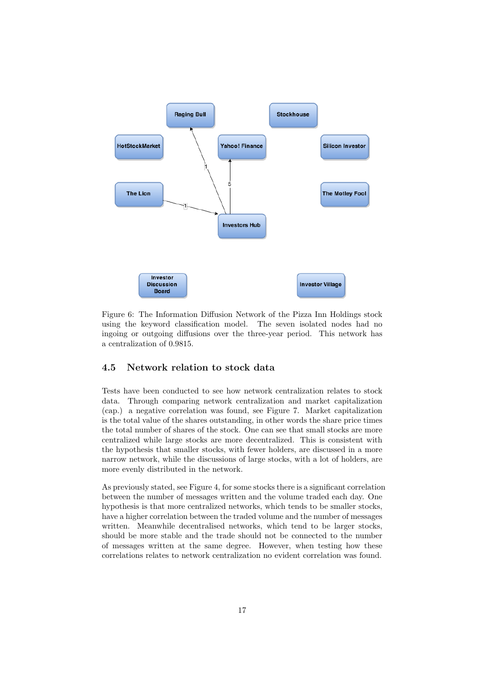

Figure 6: The Information Diffusion Network of the Pizza Inn Holdings stock using the keyword classification model. The seven isolated nodes had no ingoing or outgoing diffusions over the three-year period. This network has a centralization of 0.9815.

#### 4.5 Network relation to stock data

Tests have been conducted to see how network centralization relates to stock data. Through comparing network centralization and market capitalization (cap.) a negative correlation was found, see Figure 7. Market capitalization is the total value of the shares outstanding, in other words the share price times the total number of shares of the stock. One can see that small stocks are more centralized while large stocks are more decentralized. This is consistent with the hypothesis that smaller stocks, with fewer holders, are discussed in a more narrow network, while the discussions of large stocks, with a lot of holders, are more evenly distributed in the network.

As previously stated, see Figure 4, for some stocks there is a significant correlation between the number of messages written and the volume traded each day. One hypothesis is that more centralized networks, which tends to be smaller stocks, have a higher correlation between the traded volume and the number of messages written. Meanwhile decentralised networks, which tend to be larger stocks, should be more stable and the trade should not be connected to the number of messages written at the same degree. However, when testing how these correlations relates to network centralization no evident correlation was found.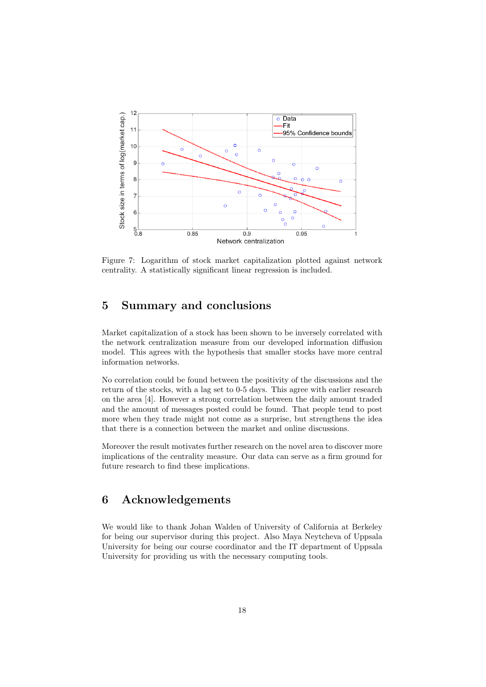

Figure 7: Logarithm of stock market capitalization plotted against network centrality. A statistically significant linear regression is included.

## 5 Summary and conclusions

Market capitalization of a stock has been shown to be inversely correlated with the network centralization measure from our developed information diffusion model. This agrees with the hypothesis that smaller stocks have more central information networks.

No correlation could be found between the positivity of the discussions and the return of the stocks, with a lag set to 0-5 days. This agree with earlier research on the area [4]. However a strong correlation between the daily amount traded and the amount of messages posted could be found. That people tend to post more when they trade might not come as a surprise, but strengthens the idea that there is a connection between the market and online discussions.

Moreover the result motivates further research on the novel area to discover more implications of the centrality measure. Our data can serve as a firm ground for future research to find these implications.

## 6 Acknowledgements

We would like to thank Johan Walden of University of California at Berkeley for being our supervisor during this project. Also Maya Neytcheva of Uppsala University for being our course coordinator and the IT department of Uppsala University for providing us with the necessary computing tools.